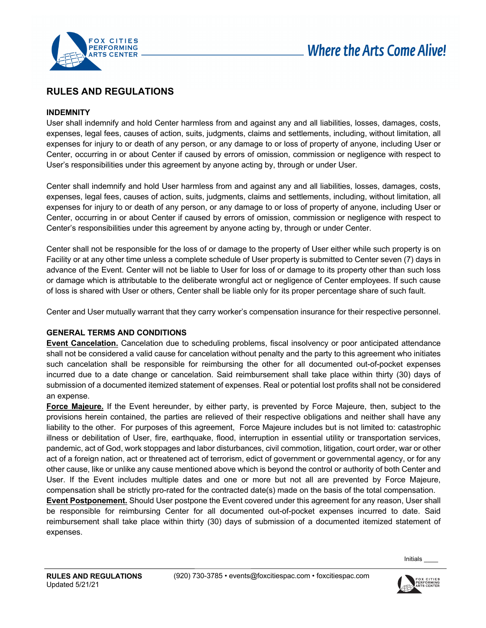

# **RULES AND REGULATIONS**

#### **INDEMNITY**

User shall indemnify and hold Center harmless from and against any and all liabilities, losses, damages, costs, expenses, legal fees, causes of action, suits, judgments, claims and settlements, including, without limitation, all expenses for injury to or death of any person, or any damage to or loss of property of anyone, including User or Center, occurring in or about Center if caused by errors of omission, commission or negligence with respect to User's responsibilities under this agreement by anyone acting by, through or under User.

Center shall indemnify and hold User harmless from and against any and all liabilities, losses, damages, costs, expenses, legal fees, causes of action, suits, judgments, claims and settlements, including, without limitation, all expenses for injury to or death of any person, or any damage to or loss of property of anyone, including User or Center, occurring in or about Center if caused by errors of omission, commission or negligence with respect to Center's responsibilities under this agreement by anyone acting by, through or under Center.

Center shall not be responsible for the loss of or damage to the property of User either while such property is on Facility or at any other time unless a complete schedule of User property is submitted to Center seven (7) days in advance of the Event. Center will not be liable to User for loss of or damage to its property other than such loss or damage which is attributable to the deliberate wrongful act or negligence of Center employees. If such cause of loss is shared with User or others, Center shall be liable only for its proper percentage share of such fault.

Center and User mutually warrant that they carry worker's compensation insurance for their respective personnel.

#### **GENERAL TERMS AND CONDITIONS**

**Event Cancelation.** Cancelation due to scheduling problems, fiscal insolvency or poor anticipated attendance shall not be considered a valid cause for cancelation without penalty and the party to this agreement who initiates such cancelation shall be responsible for reimbursing the other for all documented out-of-pocket expenses incurred due to a date change or cancelation. Said reimbursement shall take place within thirty (30) days of submission of a documented itemized statement of expenses. Real or potential lost profits shall not be considered an expense.

**Force Majeure.** If the Event hereunder, by either party, is prevented by Force Majeure, then, subject to the provisions herein contained, the parties are relieved of their respective obligations and neither shall have any liability to the other. For purposes of this agreement, Force Majeure includes but is not limited to: catastrophic illness or debilitation of User, fire, earthquake, flood, interruption in essential utility or transportation services, pandemic, act of God, work stoppages and labor disturbances, civil commotion, litigation, court order, war or other act of a foreign nation, act or threatened act of terrorism, edict of government or governmental agency, or for any other cause, like or unlike any cause mentioned above which is beyond the control or authority of both Center and User. If the Event includes multiple dates and one or more but not all are prevented by Force Majeure, compensation shall be strictly pro-rated for the contracted date(s) made on the basis of the total compensation.

**Event Postponement.** Should User postpone the Event covered under this agreement for any reason, User shall be responsible for reimbursing Center for all documented out-of-pocket expenses incurred to date. Said reimbursement shall take place within thirty (30) days of submission of a documented itemized statement of expenses.

Initials \_\_\_\_

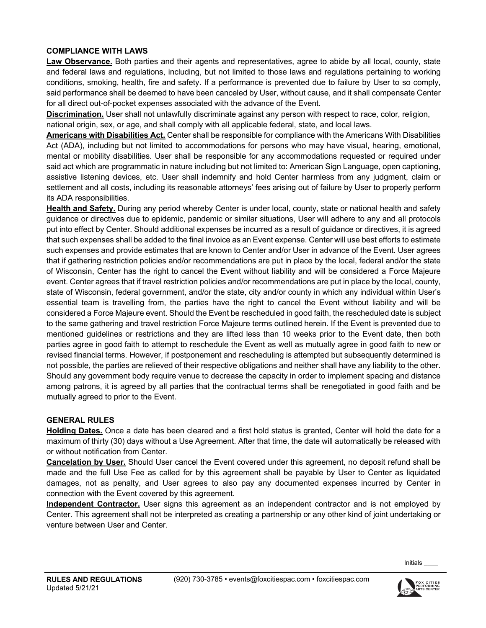#### **COMPLIANCE WITH LAWS**

**Law Observance.** Both parties and their agents and representatives, agree to abide by all local, county, state and federal laws and regulations, including, but not limited to those laws and regulations pertaining to working conditions, smoking, health, fire and safety. If a performance is prevented due to failure by User to so comply, said performance shall be deemed to have been canceled by User, without cause, and it shall compensate Center for all direct out-of-pocket expenses associated with the advance of the Event.

**Discrimination.** User shall not unlawfully discriminate against any person with respect to race, color, religion, national origin, sex, or age, and shall comply with all applicable federal, state, and local laws.

**Americans with Disabilities Act.** Center shall be responsible for compliance with the Americans With Disabilities Act (ADA), including but not limited to accommodations for persons who may have visual, hearing, emotional, mental or mobility disabilities. User shall be responsible for any accommodations requested or required under said act which are programmatic in nature including but not limited to: American Sign Language, open captioning, assistive listening devices, etc. User shall indemnify and hold Center harmless from any judgment, claim or settlement and all costs, including its reasonable attorneys' fees arising out of failure by User to properly perform its ADA responsibilities.

**Health and Safety.** During any period whereby Center is under local, county, state or national health and safety guidance or directives due to epidemic, pandemic or similar situations, User will adhere to any and all protocols put into effect by Center. Should additional expenses be incurred as a result of guidance or directives, it is agreed that such expenses shall be added to the final invoice as an Event expense. Center will use best efforts to estimate such expenses and provide estimates that are known to Center and/or User in advance of the Event. User agrees that if gathering restriction policies and/or recommendations are put in place by the local, federal and/or the state of Wisconsin, Center has the right to cancel the Event without liability and will be considered a Force Majeure event. Center agrees that if travel restriction policies and/or recommendations are put in place by the local, county, state of Wisconsin, federal government, and/or the state, city and/or county in which any individual within User's essential team is travelling from, the parties have the right to cancel the Event without liability and will be considered a Force Majeure event. Should the Event be rescheduled in good faith, the rescheduled date is subject to the same gathering and travel restriction Force Majeure terms outlined herein. If the Event is prevented due to mentioned guidelines or restrictions and they are lifted less than 10 weeks prior to the Event date, then both parties agree in good faith to attempt to reschedule the Event as well as mutually agree in good faith to new or revised financial terms. However, if postponement and rescheduling is attempted but subsequently determined is not possible, the parties are relieved of their respective obligations and neither shall have any liability to the other. Should any government body require venue to decrease the capacity in order to implement spacing and distance among patrons, it is agreed by all parties that the contractual terms shall be renegotiated in good faith and be mutually agreed to prior to the Event.

#### **GENERAL RULES**

**Holding Dates.** Once a date has been cleared and a first hold status is granted, Center will hold the date for a maximum of thirty (30) days without a Use Agreement. After that time, the date will automatically be released with or without notification from Center.

**Cancelation by User.** Should User cancel the Event covered under this agreement, no deposit refund shall be made and the full Use Fee as called for by this agreement shall be payable by User to Center as liquidated damages, not as penalty, and User agrees to also pay any documented expenses incurred by Center in connection with the Event covered by this agreement.

**Independent Contractor.** User signs this agreement as an independent contractor and is not employed by Center. This agreement shall not be interpreted as creating a partnership or any other kind of joint undertaking or venture between User and Center.

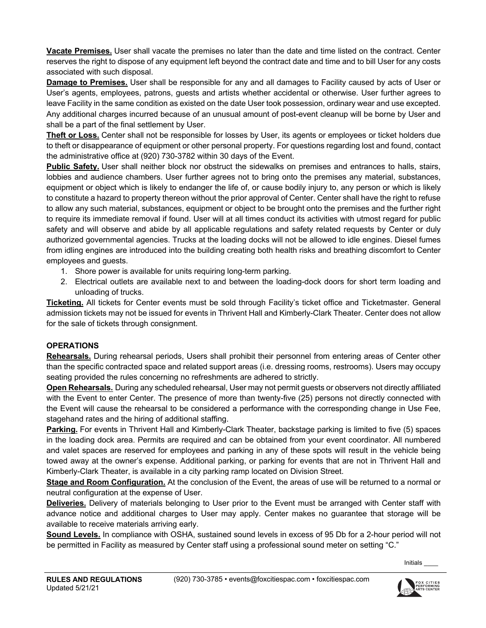**Vacate Premises.** User shall vacate the premises no later than the date and time listed on the contract. Center reserves the right to dispose of any equipment left beyond the contract date and time and to bill User for any costs associated with such disposal.

**Damage to Premises.** User shall be responsible for any and all damages to Facility caused by acts of User or User's agents, employees, patrons, guests and artists whether accidental or otherwise. User further agrees to leave Facility in the same condition as existed on the date User took possession, ordinary wear and use excepted. Any additional charges incurred because of an unusual amount of post-event cleanup will be borne by User and shall be a part of the final settlement by User.

**Theft or Loss.** Center shall not be responsible for losses by User, its agents or employees or ticket holders due to theft or disappearance of equipment or other personal property. For questions regarding lost and found, contact the administrative office at (920) 730-3782 within 30 days of the Event.

**Public Safety.** User shall neither block nor obstruct the sidewalks on premises and entrances to halls, stairs, lobbies and audience chambers. User further agrees not to bring onto the premises any material, substances, equipment or object which is likely to endanger the life of, or cause bodily injury to, any person or which is likely to constitute a hazard to property thereon without the prior approval of Center. Center shall have the right to refuse to allow any such material, substances, equipment or object to be brought onto the premises and the further right to require its immediate removal if found. User will at all times conduct its activities with utmost regard for public safety and will observe and abide by all applicable regulations and safety related requests by Center or duly authorized governmental agencies. Trucks at the loading docks will not be allowed to idle engines. Diesel fumes from idling engines are introduced into the building creating both health risks and breathing discomfort to Center employees and guests.

- 1. Shore power is available for units requiring long-term parking.
- 2. Electrical outlets are available next to and between the loading-dock doors for short term loading and unloading of trucks.

**Ticketing.** All tickets for Center events must be sold through Facility's ticket office and Ticketmaster. General admission tickets may not be issued for events in Thrivent Hall and Kimberly-Clark Theater. Center does not allow for the sale of tickets through consignment.

#### **OPERATIONS**

**Rehearsals.** During rehearsal periods, Users shall prohibit their personnel from entering areas of Center other than the specific contracted space and related support areas (i.e. dressing rooms, restrooms). Users may occupy seating provided the rules concerning no refreshments are adhered to strictly.

**Open Rehearsals.** During any scheduled rehearsal, User may not permit guests or observers not directly affiliated with the Event to enter Center. The presence of more than twenty-five (25) persons not directly connected with the Event will cause the rehearsal to be considered a performance with the corresponding change in Use Fee, stagehand rates and the hiring of additional staffing.

**Parking.** For events in Thrivent Hall and Kimberly-Clark Theater, backstage parking is limited to five (5) spaces in the loading dock area. Permits are required and can be obtained from your event coordinator. All numbered and valet spaces are reserved for employees and parking in any of these spots will result in the vehicle being towed away at the owner's expense. Additional parking, or parking for events that are not in Thrivent Hall and Kimberly-Clark Theater, is available in a city parking ramp located on Division Street.

**Stage and Room Configuration.** At the conclusion of the Event, the areas of use will be returned to a normal or neutral configuration at the expense of User.

**Deliveries.** Delivery of materials belonging to User prior to the Event must be arranged with Center staff with advance notice and additional charges to User may apply. Center makes no guarantee that storage will be available to receive materials arriving early.

**Sound Levels.** In compliance with OSHA, sustained sound levels in excess of 95 Db for a 2-hour period will not be permitted in Facility as measured by Center staff using a professional sound meter on setting "C."

Initials \_\_\_\_

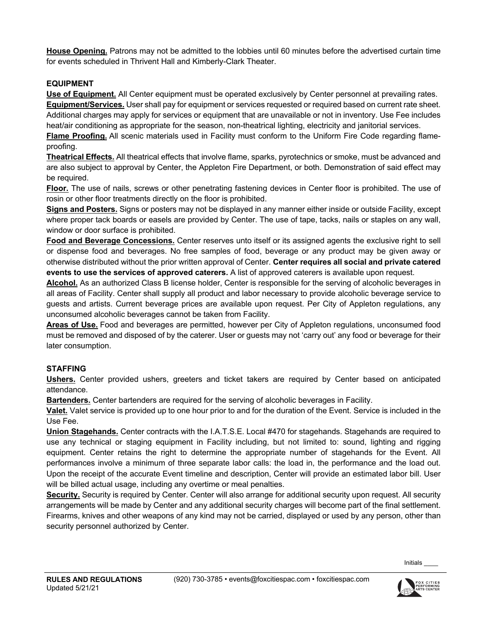**House Opening.** Patrons may not be admitted to the lobbies until 60 minutes before the advertised curtain time for events scheduled in Thrivent Hall and Kimberly-Clark Theater.

### **EQUIPMENT**

**Use of Equipment.** All Center equipment must be operated exclusively by Center personnel at prevailing rates. **Equipment/Services.** User shall pay for equipment or services requested or required based on current rate sheet.

Additional charges may apply for services or equipment that are unavailable or not in inventory. Use Fee includes heat/air conditioning as appropriate for the season, non-theatrical lighting, electricity and janitorial services.

**Flame Proofing.** All scenic materials used in Facility must conform to the Uniform Fire Code regarding flameproofing.

**Theatrical Effects.** All theatrical effects that involve flame, sparks, pyrotechnics or smoke, must be advanced and are also subject to approval by Center, the Appleton Fire Department, or both. Demonstration of said effect may be required.

**Floor.** The use of nails, screws or other penetrating fastening devices in Center floor is prohibited. The use of rosin or other floor treatments directly on the floor is prohibited.

**Signs and Posters.** Signs or posters may not be displayed in any manner either inside or outside Facility, except where proper tack boards or easels are provided by Center. The use of tape, tacks, nails or staples on any wall, window or door surface is prohibited.

**Food and Beverage Concessions.** Center reserves unto itself or its assigned agents the exclusive right to sell or dispense food and beverages. No free samples of food, beverage or any product may be given away or otherwise distributed without the prior written approval of Center. **Center requires all social and private catered events to use the services of approved caterers.** A list of approved caterers is available upon request.

**Alcohol.** As an authorized Class B license holder, Center is responsible for the serving of alcoholic beverages in all areas of Facility. Center shall supply all product and labor necessary to provide alcoholic beverage service to guests and artists. Current beverage prices are available upon request. Per City of Appleton regulations, any unconsumed alcoholic beverages cannot be taken from Facility.

**Areas of Use.** Food and beverages are permitted, however per City of Appleton regulations, unconsumed food must be removed and disposed of by the caterer. User or guests may not 'carry out' any food or beverage for their later consumption.

## **STAFFING**

**Ushers.** Center provided ushers, greeters and ticket takers are required by Center based on anticipated attendance.

**Bartenders.** Center bartenders are required for the serving of alcoholic beverages in Facility.

**Valet.** Valet service is provided up to one hour prior to and for the duration of the Event. Service is included in the Use Fee.

**Union Stagehands.** Center contracts with the I.A.T.S.E. Local #470 for stagehands. Stagehands are required to use any technical or staging equipment in Facility including, but not limited to: sound, lighting and rigging equipment. Center retains the right to determine the appropriate number of stagehands for the Event. All performances involve a minimum of three separate labor calls: the load in, the performance and the load out. Upon the receipt of the accurate Event timeline and description, Center will provide an estimated labor bill. User will be billed actual usage, including any overtime or meal penalties.

**Security.** Security is required by Center. Center will also arrange for additional security upon request. All security arrangements will be made by Center and any additional security charges will become part of the final settlement. Firearms, knives and other weapons of any kind may not be carried, displayed or used by any person, other than security personnel authorized by Center.

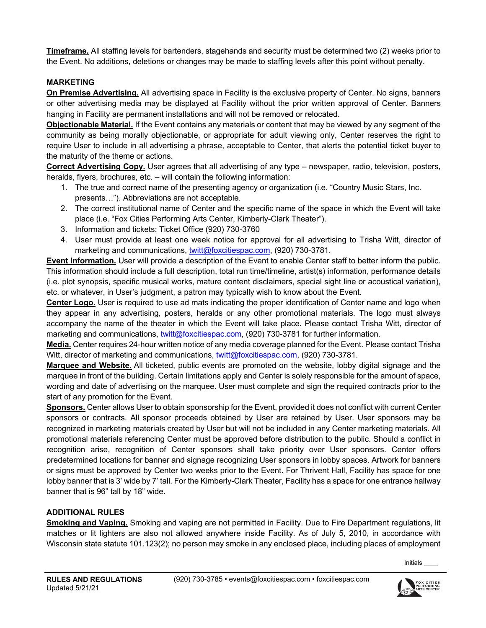**Timeframe.** All staffing levels for bartenders, stagehands and security must be determined two (2) weeks prior to the Event. No additions, deletions or changes may be made to staffing levels after this point without penalty.

### **MARKETING**

**On Premise Advertising.** All advertising space in Facility is the exclusive property of Center. No signs, banners or other advertising media may be displayed at Facility without the prior written approval of Center. Banners hanging in Facility are permanent installations and will not be removed or relocated.

**Objectionable Material.** If the Event contains any materials or content that may be viewed by any segment of the community as being morally objectionable, or appropriate for adult viewing only, Center reserves the right to require User to include in all advertising a phrase, acceptable to Center, that alerts the potential ticket buyer to the maturity of the theme or actions.

**Correct Advertising Copy.** User agrees that all advertising of any type – newspaper, radio, television, posters, heralds, flyers, brochures, etc. – will contain the following information:

- 1. The true and correct name of the presenting agency or organization (i.e. "Country Music Stars, Inc. presents…"). Abbreviations are not acceptable.
- 2. The correct institutional name of Center and the specific name of the space in which the Event will take place (i.e. "Fox Cities Performing Arts Center, Kimberly-Clark Theater").
- 3. Information and tickets: Ticket Office (920) 730-3760
- 4. User must provide at least one week notice for approval for all advertising to Trisha Witt, director of marketing and communications, twitt@foxcitiespac.com, (920) 730-3781.

**Event Information.** User will provide a description of the Event to enable Center staff to better inform the public. This information should include a full description, total run time/timeline, artist(s) information, performance details (i.e. plot synopsis, specific musical works, mature content disclaimers, special sight line or acoustical variation), etc. or whatever, in User's judgment, a patron may typically wish to know about the Event.

**Center Logo.** User is required to use ad mats indicating the proper identification of Center name and logo when they appear in any advertising, posters, heralds or any other promotional materials. The logo must always accompany the name of the theater in which the Event will take place. Please contact Trisha Witt, director of marketing and communications, twitt@foxcitiespac.com, (920) 730-3781 for further information.

**Media.** Center requires 24-hour written notice of any media coverage planned for the Event. Please contact Trisha Witt, director of marketing and communications, twitt@foxcitiespac.com, (920) 730-3781.

**Marquee and Website.** All ticketed, public events are promoted on the website, lobby digital signage and the marquee in front of the building. Certain limitations apply and Center is solely responsible for the amount of space, wording and date of advertising on the marquee. User must complete and sign the required contracts prior to the start of any promotion for the Event.

**Sponsors.** Center allows User to obtain sponsorship for the Event, provided it does not conflict with current Center sponsors or contracts. All sponsor proceeds obtained by User are retained by User. User sponsors may be recognized in marketing materials created by User but will not be included in any Center marketing materials. All promotional materials referencing Center must be approved before distribution to the public. Should a conflict in recognition arise, recognition of Center sponsors shall take priority over User sponsors. Center offers predetermined locations for banner and signage recognizing User sponsors in lobby spaces. Artwork for banners or signs must be approved by Center two weeks prior to the Event. For Thrivent Hall, Facility has space for one lobby banner that is 3' wide by 7' tall. For the Kimberly-Clark Theater, Facility has a space for one entrance hallway banner that is 96" tall by 18" wide.

## **ADDITIONAL RULES**

**Smoking and Vaping.** Smoking and vaping are not permitted in Facility. Due to Fire Department regulations, lit matches or lit lighters are also not allowed anywhere inside Facility. As of July 5, 2010, in accordance with Wisconsin state statute 101.123(2); no person may smoke in any enclosed place, including places of employment

Initials \_\_\_\_